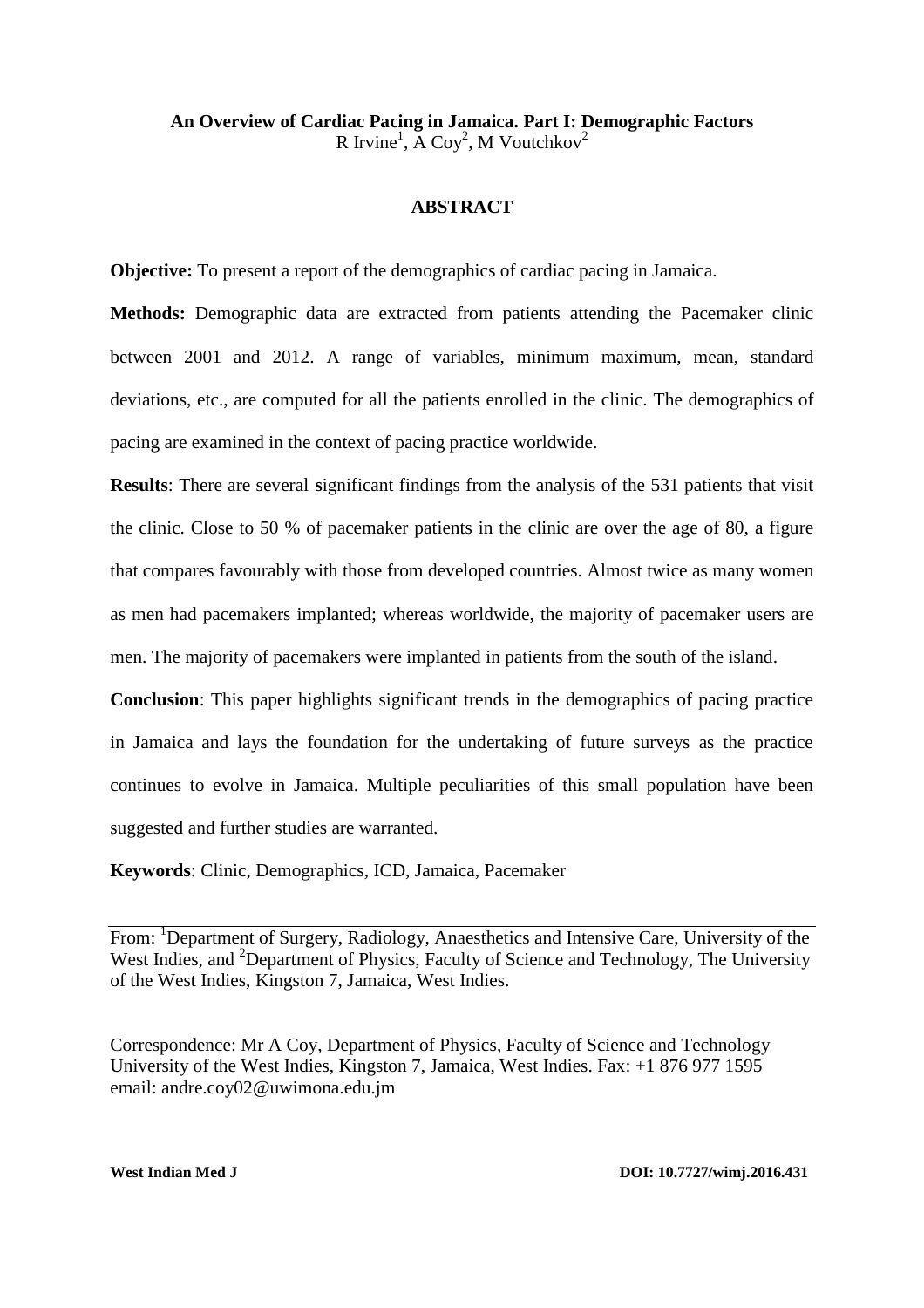**An Overview of Cardiac Pacing in Jamaica. Part I: Demographic Factors** R Irvine<sup>1</sup>, A Coy<sup>2</sup>, M Voutchkov<sup>2</sup>

#### **ABSTRACT**

**Objective:** To present a report of the demographics of cardiac pacing in Jamaica.

**Methods:** Demographic data are extracted from patients attending the Pacemaker clinic between 2001 and 2012. A range of variables, minimum maximum, mean, standard deviations, etc., are computed for all the patients enrolled in the clinic. The demographics of pacing are examined in the context of pacing practice worldwide.

**Results**: There are several significant findings from the analysis of the 531 patients that visit the clinic. Close to 50 % of pacemaker patients in the clinic are over the age of 80, a figure that compares favourably with those from developed countries. Almost twice as many women as men had pacemakers implanted; whereas worldwide, the majority of pacemaker users are men. The majority of pacemakers were implanted in patients from the south of the island.

**Conclusion**: This paper highlights significant trends in the demographics of pacing practice in Jamaica and lays the foundation for the undertaking of future surveys as the practice continues to evolve in Jamaica. Multiple peculiarities of this small population have been suggested and further studies are warranted.

**Keywords**: Clinic, Demographics, ICD, Jamaica, Pacemaker

From: <sup>1</sup>Department of Surgery, Radiology, Anaesthetics and Intensive Care, University of the West Indies, and <sup>2</sup>Department of Physics, Faculty of Science and Technology, The University of the West Indies, Kingston 7, Jamaica, West Indies.

Correspondence: Mr A Coy, Department of Physics, Faculty of Science and Technology University of the West Indies, Kingston 7, Jamaica, West Indies. Fax: +1 876 977 1595 email: andre.coy02@uwimona.edu.jm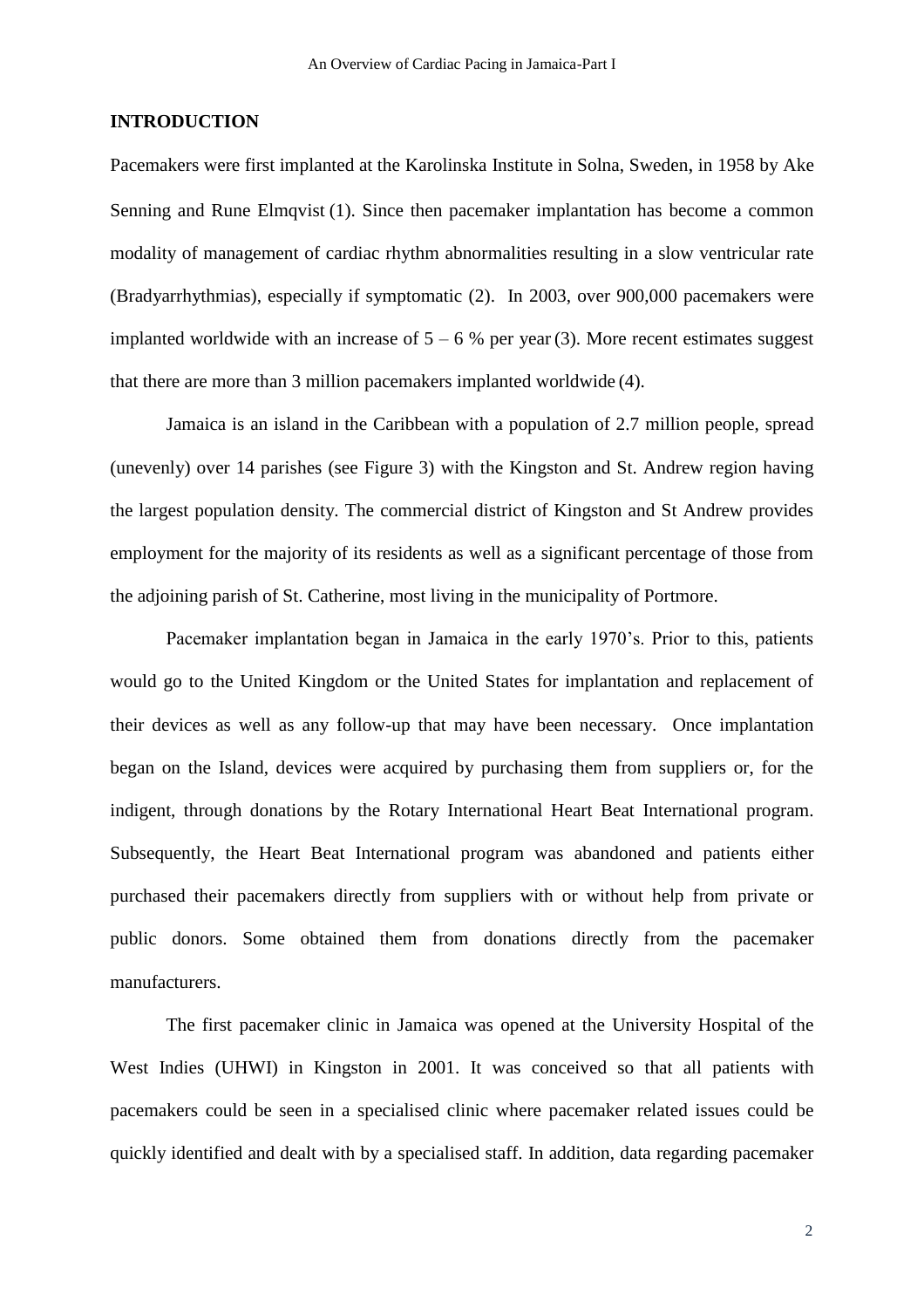## **INTRODUCTION**

Pacemakers were first implanted at the [Karolinska Institute](http://en.wikipedia.org/wiki/Karolinska_Institute) in Solna, [Sweden](http://en.wikipedia.org/wiki/Sweden), in 1958 by Ake Senning and Rune Elmqvist (1). Since then pacemaker implantation has become a common modality of management of cardiac rhythm abnormalities resulting in a slow ventricular rate (Bradyarrhythmias), especially if symptomatic (2). In 2003, over 900,000 pacemakers were implanted worldwide with an increase of  $5 - 6$  % per year (3). More recent estimates suggest that there are more than 3 million pacemakers implanted worldwide (4).

Jamaica is an island in the Caribbean with a population of 2.7 million people, spread (unevenly) over 14 parishes (see Figure 3) with the Kingston and St. Andrew region having the largest population density. The commercial district of Kingston and St Andrew provides employment for the majority of its residents as well as a significant percentage of those from the adjoining parish of St. Catherine, most living in the municipality of Portmore.

Pacemaker implantation began in Jamaica in the early 1970's. Prior to this, patients would go to the United Kingdom or the United States for implantation and replacement of their devices as well as any follow-up that may have been necessary. Once implantation began on the Island, devices were acquired by purchasing them from suppliers or, for the indigent, through donations by the Rotary International Heart Beat International program. Subsequently, the Heart Beat International program was abandoned and patients either purchased their pacemakers directly from suppliers with or without help from private or public donors. Some obtained them from donations directly from the pacemaker manufacturers.

The first pacemaker clinic in Jamaica was opened at the University Hospital of the West Indies (UHWI) in Kingston in 2001. It was conceived so that all patients with pacemakers could be seen in a specialised clinic where pacemaker related issues could be quickly identified and dealt with by a specialised staff. In addition, data regarding pacemaker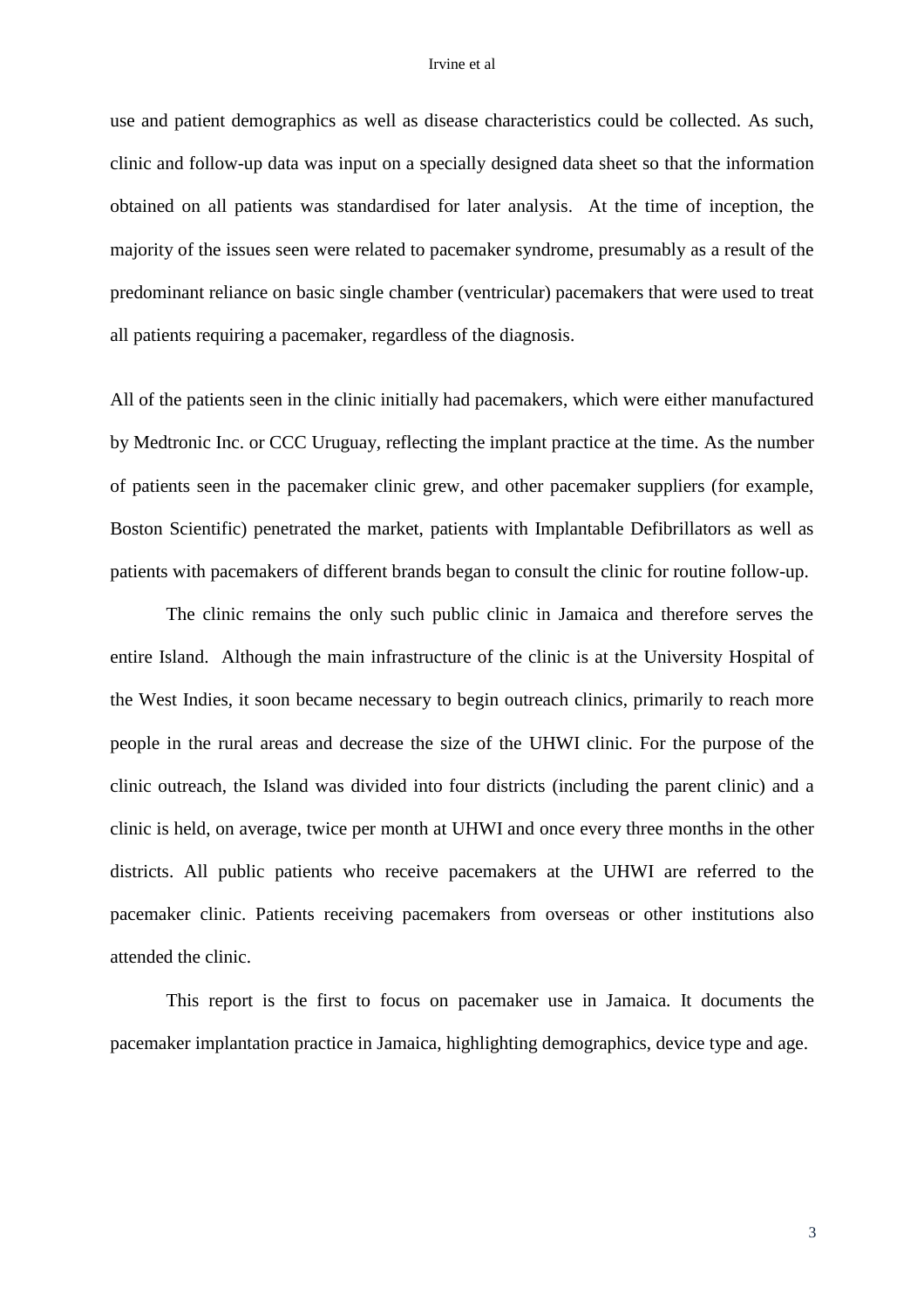#### Irvine et al

use and patient demographics as well as disease characteristics could be collected. As such, clinic and follow-up data was input on a specially designed data sheet so that the information obtained on all patients was standardised for later analysis. At the time of inception, the majority of the issues seen were related to pacemaker syndrome, presumably as a result of the predominant reliance on basic single chamber (ventricular) pacemakers that were used to treat all patients requiring a pacemaker, regardless of the diagnosis.

All of the patients seen in the clinic initially had pacemakers, which were either manufactured by Medtronic Inc. or CCC Uruguay, reflecting the implant practice at the time. As the number of patients seen in the pacemaker clinic grew, and other pacemaker suppliers (for example, Boston Scientific) penetrated the market, patients with Implantable Defibrillators as well as patients with pacemakers of different brands began to consult the clinic for routine follow-up.

The clinic remains the only such public clinic in Jamaica and therefore serves the entire Island. Although the main infrastructure of the clinic is at the University Hospital of the West Indies, it soon became necessary to begin outreach clinics, primarily to reach more people in the rural areas and decrease the size of the UHWI clinic. For the purpose of the clinic outreach, the Island was divided into four districts (including the parent clinic) and a clinic is held, on average, twice per month at UHWI and once every three months in the other districts. All public patients who receive pacemakers at the UHWI are referred to the pacemaker clinic. Patients receiving pacemakers from overseas or other institutions also attended the clinic.

This report is the first to focus on pacemaker use in Jamaica. It documents the pacemaker implantation practice in Jamaica, highlighting demographics, device type and age.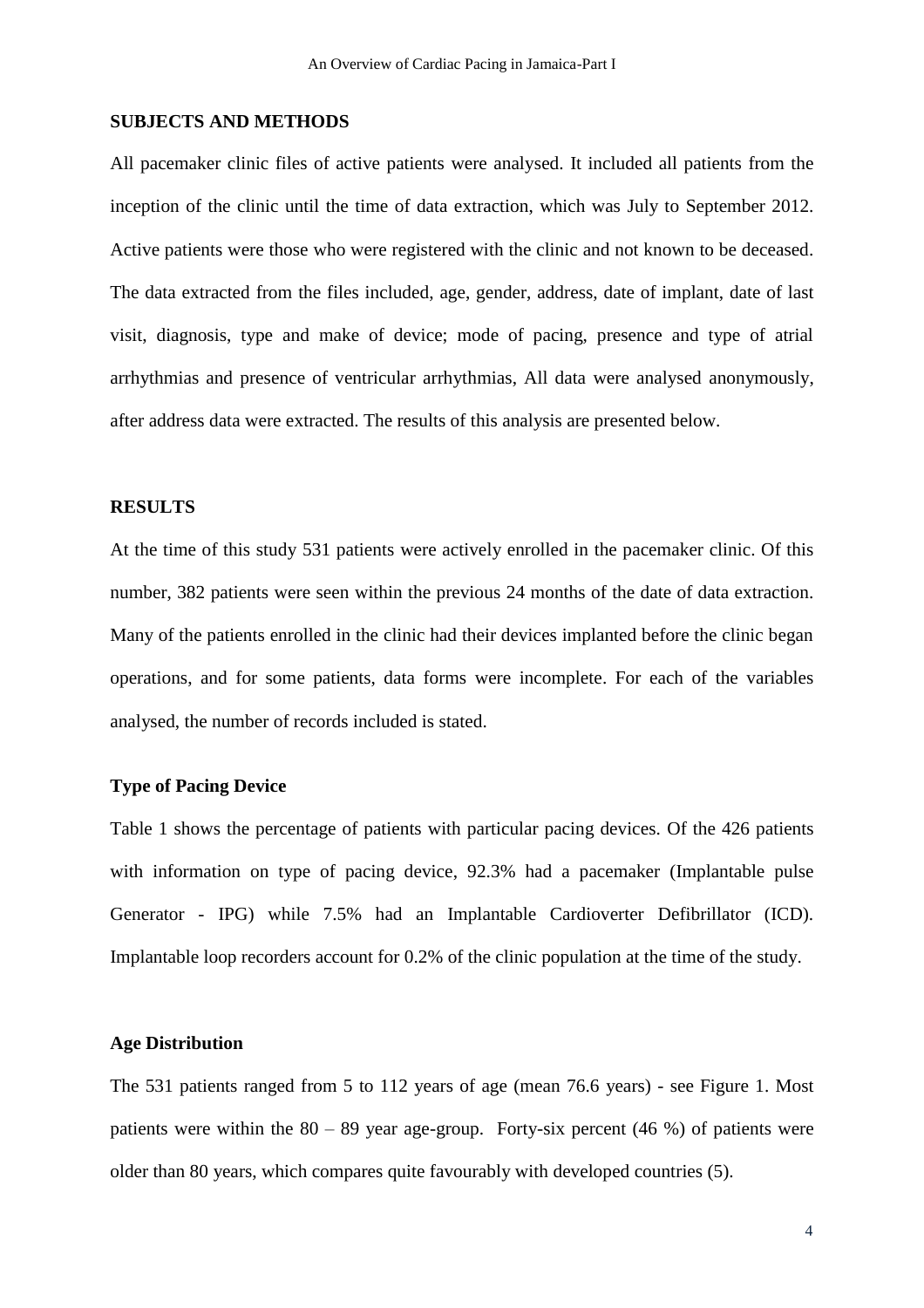#### **SUBJECTS AND METHODS**

All pacemaker clinic files of active patients were analysed. It included all patients from the inception of the clinic until the time of data extraction, which was July to September 2012. Active patients were those who were registered with the clinic and not known to be deceased. The data extracted from the files included, age, gender, address, date of implant, date of last visit, diagnosis, type and make of device; mode of pacing, presence and type of atrial arrhythmias and presence of ventricular arrhythmias, All data were analysed anonymously, after address data were extracted. The results of this analysis are presented below.

## **RESULTS**

At the time of this study 531 patients were actively enrolled in the pacemaker clinic. Of this number, 382 patients were seen within the previous 24 months of the date of data extraction. Many of the patients enrolled in the clinic had their devices implanted before the clinic began operations, and for some patients, data forms were incomplete. For each of the variables analysed, the number of records included is stated.

#### **Type of Pacing Device**

Table 1 shows the percentage of patients with particular pacing devices. Of the 426 patients with information on type of pacing device, 92.3% had a pacemaker (Implantable pulse Generator - IPG) while 7.5% had an Implantable Cardioverter Defibrillator (ICD). Implantable loop recorders account for 0.2% of the clinic population at the time of the study.

#### **Age Distribution**

The 531 patients ranged from 5 to 112 years of age (mean 76.6 years) - see Figure 1. Most patients were within the  $80 - 89$  year age-group. Forty-six percent (46 %) of patients were older than 80 years, which compares quite favourably with developed countries (5).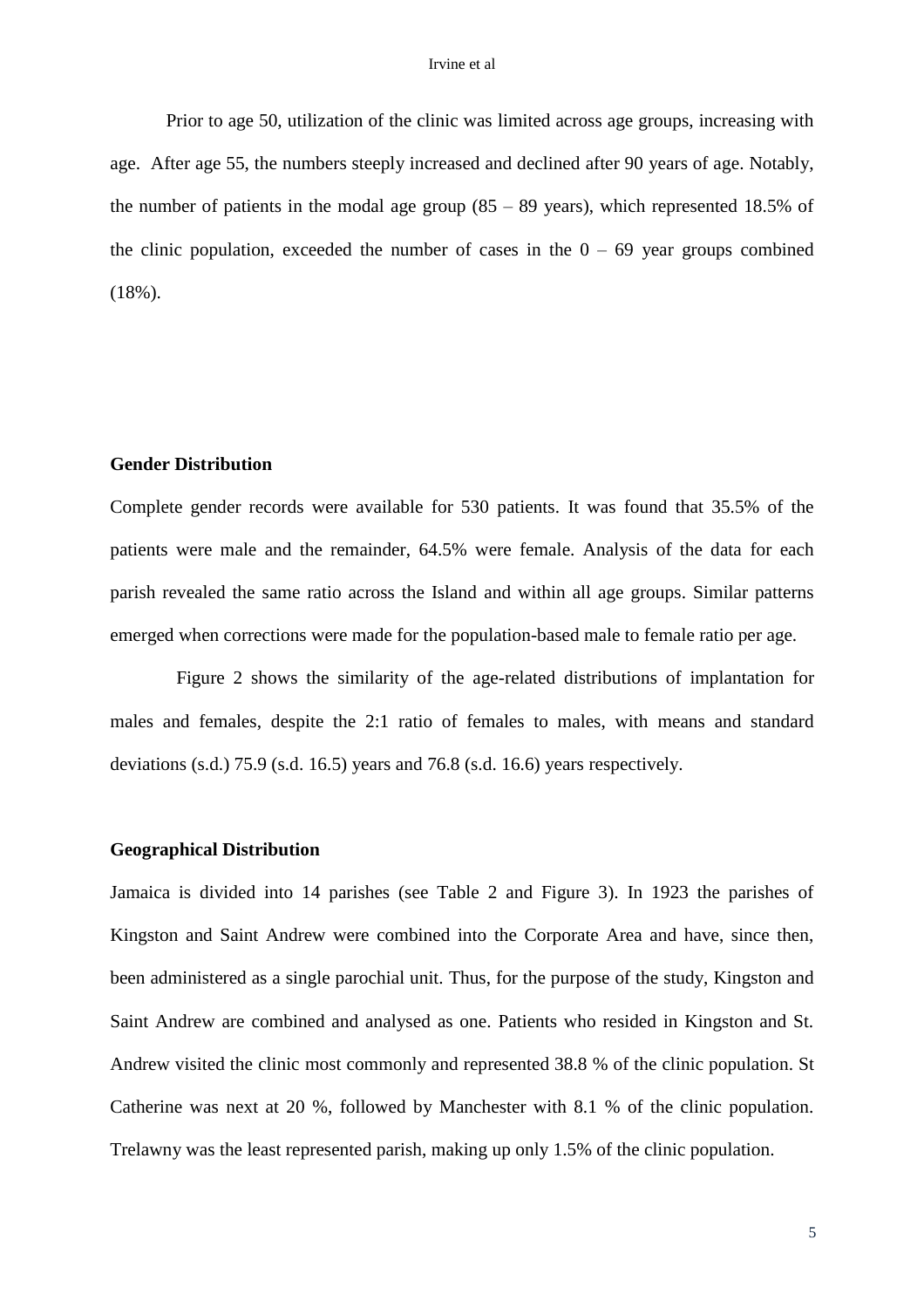#### Irvine et al

Prior to age 50, utilization of the clinic was limited across age groups, increasing with age. After age 55, the numbers steeply increased and declined after 90 years of age. Notably, the number of patients in the modal age group  $(85 - 89 \text{ years})$ , which represented 18.5% of the clinic population, exceeded the number of cases in the  $0 - 69$  year groups combined (18%).

## **Gender Distribution**

Complete gender records were available for 530 patients. It was found that 35.5% of the patients were male and the remainder, 64.5% were female. Analysis of the data for each parish revealed the same ratio across the Island and within all age groups. Similar patterns emerged when corrections were made for the population-based male to female ratio per age.

Figure 2 shows the similarity of the age-related distributions of implantation for males and females, despite the 2:1 ratio of females to males, with means and standard deviations (s.d.) 75.9 (s.d. 16.5) years and 76.8 (s.d. 16.6) years respectively.

# **Geographical Distribution**

Jamaica is divided into 14 parishes (see Table 2 and Figure 3). In 1923 the parishes of Kingston and Saint Andrew were combined into the Corporate Area and have, since then, been administered as a single parochial unit. Thus, for the purpose of the study, Kingston and Saint Andrew are combined and analysed as one. Patients who resided in Kingston and St. Andrew visited the clinic most commonly and represented 38.8 % of the clinic population. St Catherine was next at 20 %, followed by Manchester with 8.1 % of the clinic population. Trelawny was the least represented parish, making up only 1.5% of the clinic population.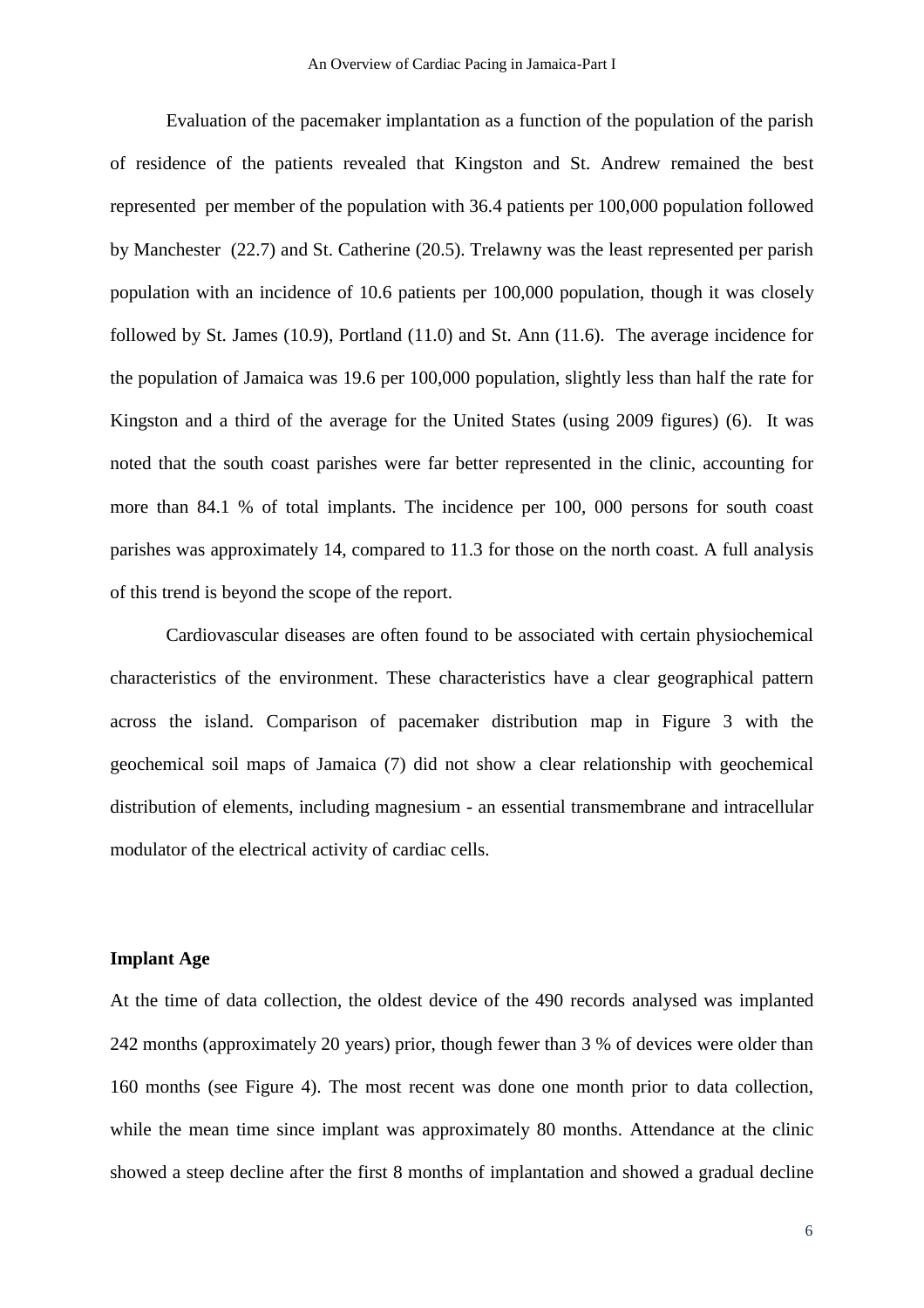Evaluation of the pacemaker implantation as a function of the population of the parish of residence of the patients revealed that Kingston and St. Andrew remained the best represented per member of the population with 36.4 patients per 100,000 population followed by Manchester (22.7) and St. Catherine (20.5). Trelawny was the least represented per parish population with an incidence of 10.6 patients per 100,000 population, though it was closely followed by St. James (10.9), Portland (11.0) and St. Ann (11.6). The average incidence for the population of Jamaica was 19.6 per 100,000 population, slightly less than half the rate for Kingston and a third of the average for the United States (using 2009 figures) (6). It was noted that the south coast parishes were far better represented in the clinic, accounting for more than 84.1 % of total implants. The incidence per 100, 000 persons for south coast parishes was approximately 14, compared to 11.3 for those on the north coast. A full analysis of this trend is beyond the scope of the report.

Cardiovascular diseases are often found to be associated with certain physiochemical characteristics of the environment. These characteristics have a clear geographical pattern across the island. Comparison of pacemaker distribution map in Figure 3 with the geochemical soil maps of Jamaica (7) did not show a clear relationship with geochemical distribution of elements, including magnesium - an essential transmembrane and intracellular modulator of the electrical activity of cardiac cells.

## **Implant Age**

At the time of data collection, the oldest device of the 490 records analysed was implanted 242 months (approximately 20 years) prior, though fewer than 3 % of devices were older than 160 months (see Figure 4). The most recent was done one month prior to data collection, while the mean time since implant was approximately 80 months. Attendance at the clinic showed a steep decline after the first 8 months of implantation and showed a gradual decline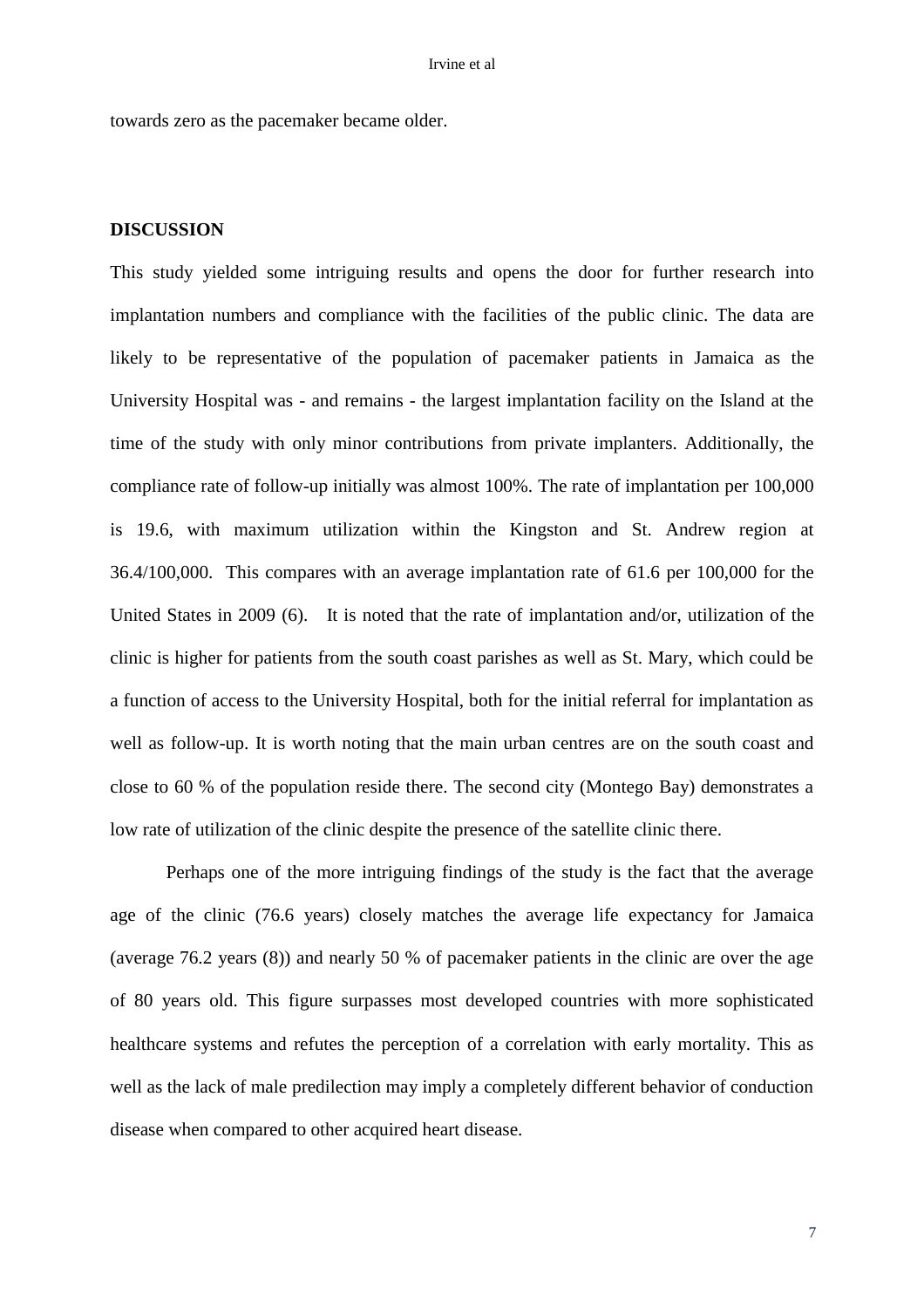towards zero as the pacemaker became older.

### **DISCUSSION**

This study yielded some intriguing results and opens the door for further research into implantation numbers and compliance with the facilities of the public clinic. The data are likely to be representative of the population of pacemaker patients in Jamaica as the University Hospital was - and remains - the largest implantation facility on the Island at the time of the study with only minor contributions from private implanters. Additionally, the compliance rate of follow-up initially was almost 100%. The rate of implantation per 100,000 is 19.6, with maximum utilization within the Kingston and St. Andrew region at 36.4/100,000. This compares with an average implantation rate of 61.6 per 100,000 for the United States in 2009 (6). It is noted that the rate of implantation and/or, utilization of the clinic is higher for patients from the south coast parishes as well as St. Mary, which could be a function of access to the University Hospital, both for the initial referral for implantation as well as follow-up. It is worth noting that the main urban centres are on the south coast and close to 60 % of the population reside there. The second city (Montego Bay) demonstrates a low rate of utilization of the clinic despite the presence of the satellite clinic there.

Perhaps one of the more intriguing findings of the study is the fact that the average age of the clinic (76.6 years) closely matches the average life expectancy for Jamaica (average 76.2 years (8)) and nearly 50 % of pacemaker patients in the clinic are over the age of 80 years old. This figure surpasses most developed countries with more sophisticated healthcare systems and refutes the perception of a correlation with early mortality. This as well as the lack of male predilection may imply a completely different behavior of conduction disease when compared to other acquired heart disease.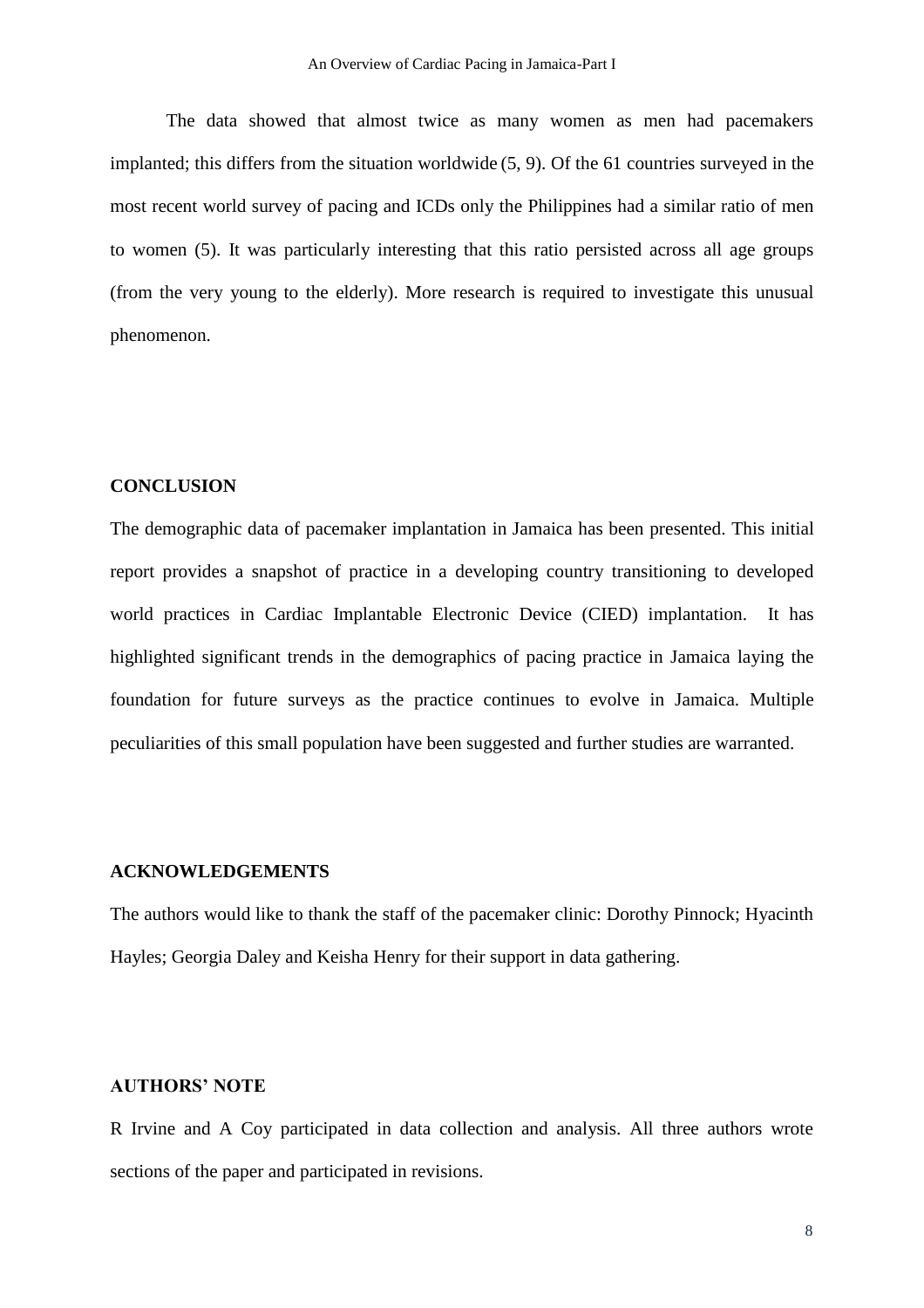The data showed that almost twice as many women as men had pacemakers implanted; this differs from the situation worldwide (5, 9). Of the 61 countries surveyed in the most recent world survey of pacing and ICDs only the Philippines had a similar ratio of men to women (5). It was particularly interesting that this ratio persisted across all age groups (from the very young to the elderly). More research is required to investigate this unusual phenomenon.

### **CONCLUSION**

The demographic data of pacemaker implantation in Jamaica has been presented. This initial report provides a snapshot of practice in a developing country transitioning to developed world practices in Cardiac Implantable Electronic Device (CIED) implantation. It has highlighted significant trends in the demographics of pacing practice in Jamaica laying the foundation for future surveys as the practice continues to evolve in Jamaica. Multiple peculiarities of this small population have been suggested and further studies are warranted.

#### **ACKNOWLEDGEMENTS**

The authors would like to thank the staff of the pacemaker clinic: Dorothy Pinnock; Hyacinth Hayles; Georgia Daley and Keisha Henry for their support in data gathering.

# **AUTHORS' NOTE**

R Irvine and A Coy participated in data collection and analysis. All three authors wrote sections of the paper and participated in revisions.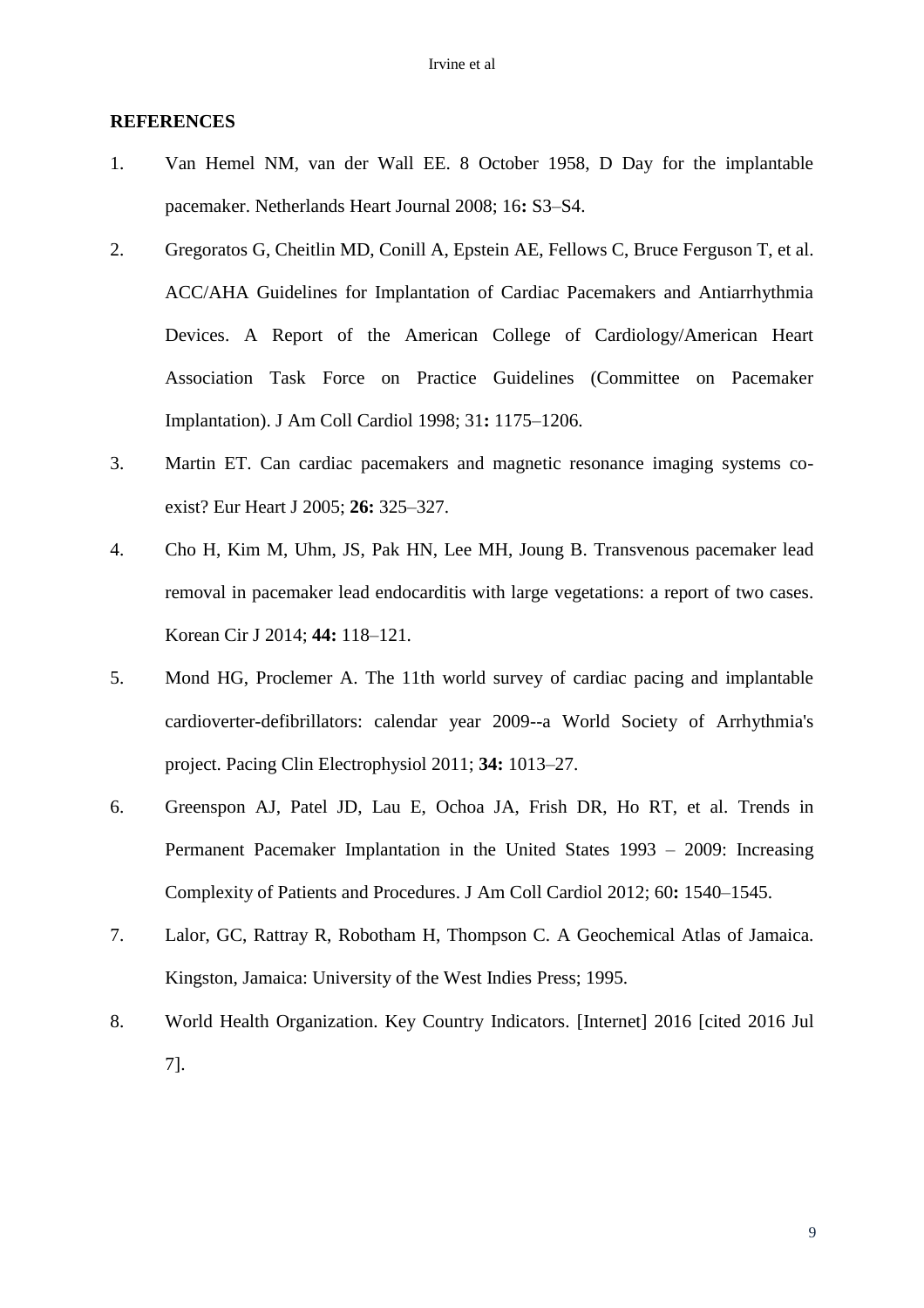## **REFERENCES**

- 1. Van Hemel NM, van der Wall EE. 8 October 1958, D Day for the implantable pacemaker. Netherlands Heart Journal 2008; 16**:** S3–S4.
- 2. Gregoratos G, Cheitlin MD, Conill A, Epstein AE, Fellows C, Bruce Ferguson T, et al. ACC/AHA Guidelines for Implantation of Cardiac Pacemakers and Antiarrhythmia Devices. A Report of the American College of Cardiology/American Heart Association Task Force on Practice Guidelines (Committee on Pacemaker Implantation). J Am Coll Cardiol 1998; 31**:** 1175–1206.
- 3. Martin ET. Can cardiac pacemakers and magnetic resonance imaging systems coexist? Eur Heart J 2005; **26:** 325–327.
- 4. Cho H, Kim M, Uhm, JS, Pak HN, Lee MH, Joung B. Transvenous pacemaker lead removal in pacemaker lead endocarditis with large vegetations: a report of two cases. Korean Cir J 2014; **44:** 118–121.
- 5. Mond HG, Proclemer A. The 11th world survey of cardiac pacing and implantable cardioverter-defibrillators: calendar year 2009--a World Society of Arrhythmia's project. Pacing Clin Electrophysiol 2011; **34:** 1013–27.
- 6. Greenspon AJ, Patel JD, Lau E, Ochoa JA, Frish DR, Ho RT, et al. Trends in Permanent Pacemaker Implantation in the United States 1993 – 2009: Increasing Complexity of Patients and Procedures. J Am Coll Cardiol 2012; 60**:** 1540–1545.
- 7. Lalor, GC, Rattray R, Robotham H, Thompson C. A Geochemical Atlas of Jamaica. Kingston, Jamaica: University of the West Indies Press; 1995.
- 8. World Health Organization. Key Country Indicators. [Internet] 2016 [cited 2016 Jul 7].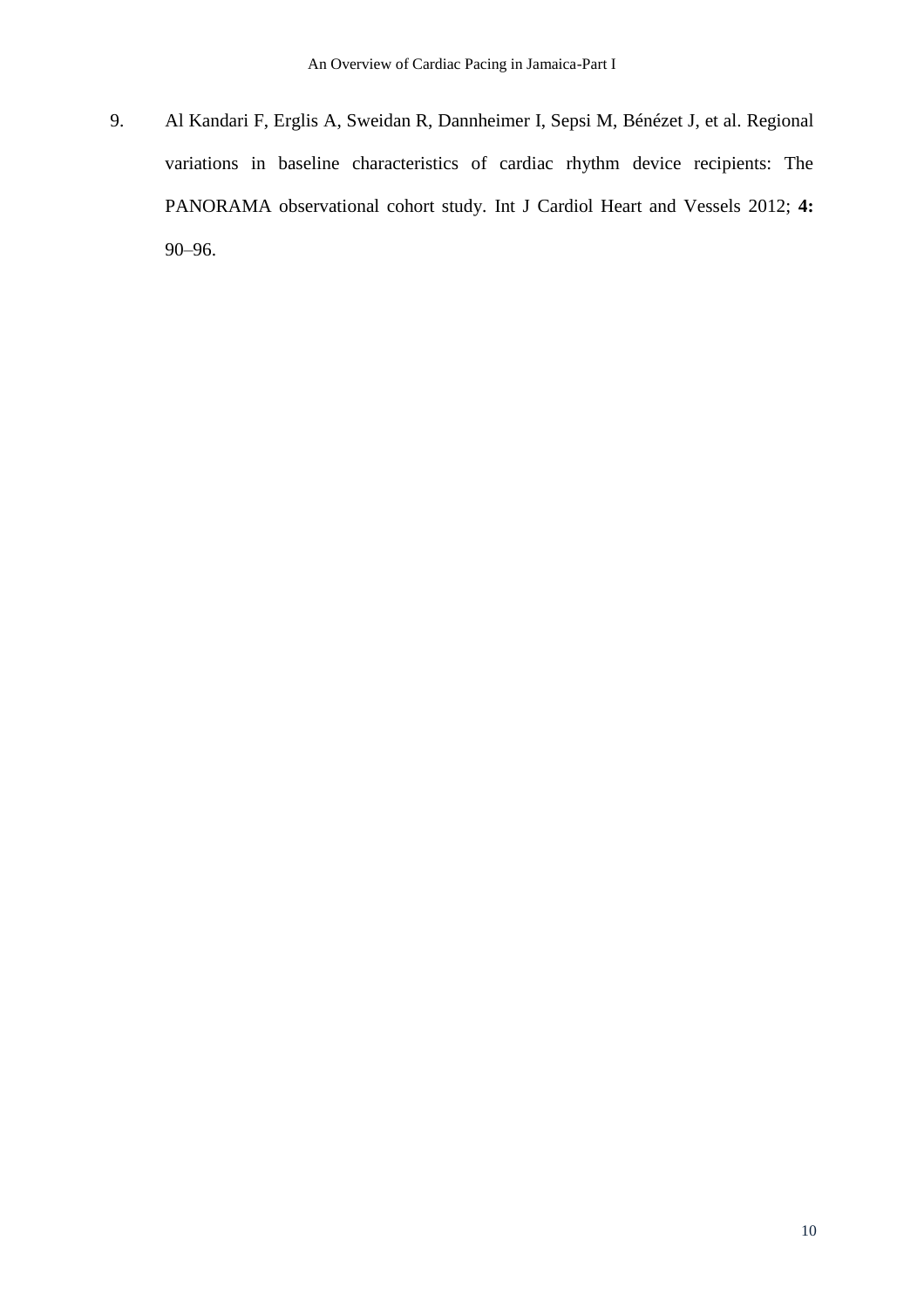9. Al Kandari F, Erglis A, Sweidan R, Dannheimer I, Sepsi M, Bénézet J, et al. Regional variations in baseline characteristics of cardiac rhythm device recipients: The PANORAMA observational cohort study. Int J Cardiol Heart and Vessels 2012; **4:** 90–96.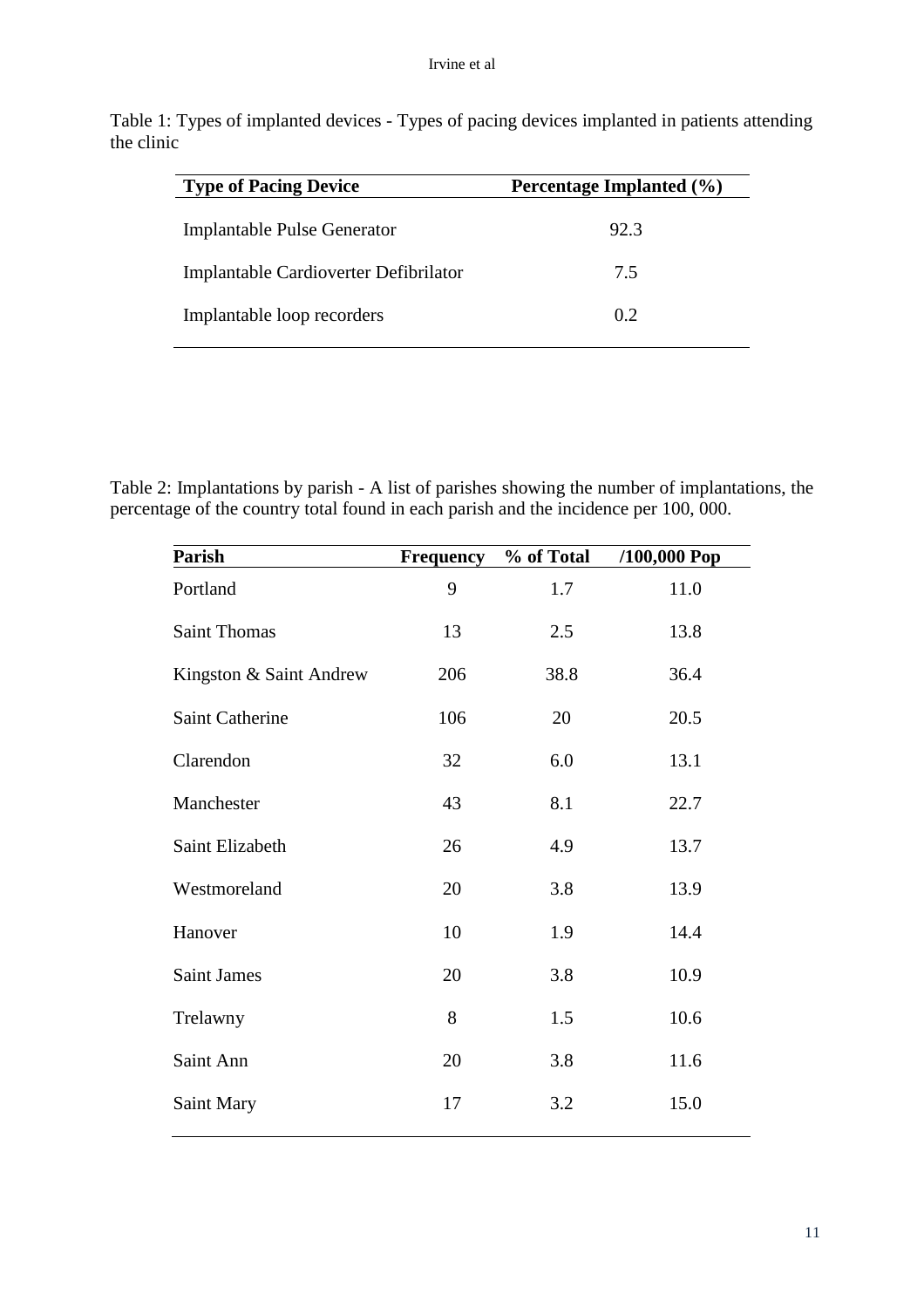Table 1: Types of implanted devices - Types of pacing devices implanted in patients attending the clinic

| <b>Type of Pacing Device</b>          | Percentage Implanted (%) |  |
|---------------------------------------|--------------------------|--|
| Implantable Pulse Generator           | 92.3                     |  |
| Implantable Cardioverter Defibrilator | 7.5                      |  |
| Implantable loop recorders            | 0.2                      |  |

Table 2: Implantations by parish - A list of parishes showing the number of implantations, the percentage of the country total found in each parish and the incidence per 100, 000.

| <b>Parish</b>           | Frequency | % of Total | /100,000 Pop |
|-------------------------|-----------|------------|--------------|
| Portland                | 9         | 1.7        | 11.0         |
| Saint Thomas            | 13        | 2.5        | 13.8         |
| Kingston & Saint Andrew | 206       | 38.8       | 36.4         |
| Saint Catherine         | 106       | 20         | 20.5         |
| Clarendon               | 32        | 6.0        | 13.1         |
| Manchester              | 43        | 8.1        | 22.7         |
| Saint Elizabeth         | 26        | 4.9        | 13.7         |
| Westmoreland            | 20        | 3.8        | 13.9         |
| Hanover                 | 10        | 1.9        | 14.4         |
| <b>Saint James</b>      | 20        | 3.8        | 10.9         |
| Trelawny                | 8         | 1.5        | 10.6         |
| Saint Ann               | 20        | 3.8        | 11.6         |
| Saint Mary              | 17        | 3.2        | 15.0         |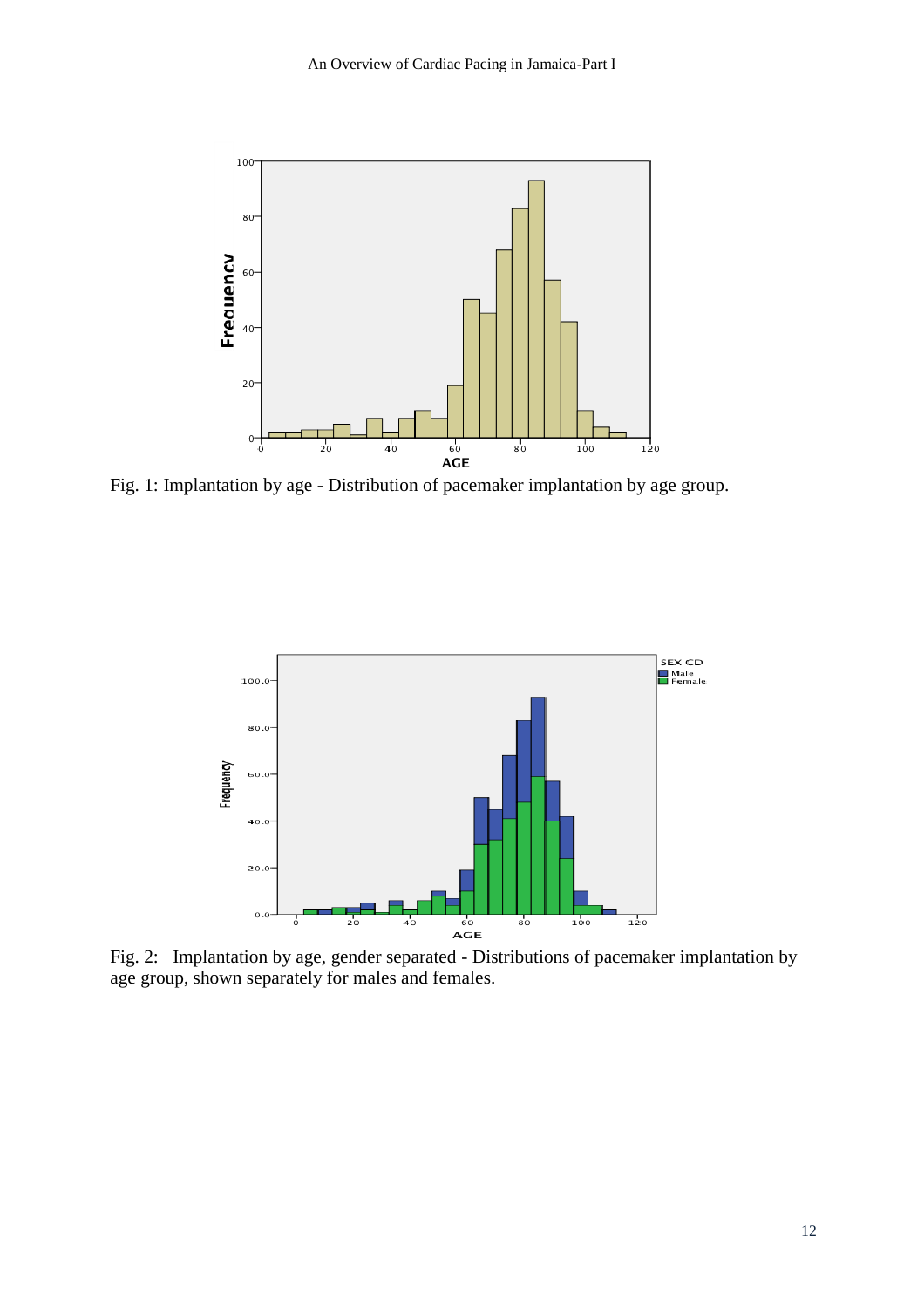

Fig. 1: Implantation by age - Distribution of pacemaker implantation by age group.



Fig. 2: Implantation by age, gender separated - Distributions of pacemaker implantation by age group, shown separately for males and females.